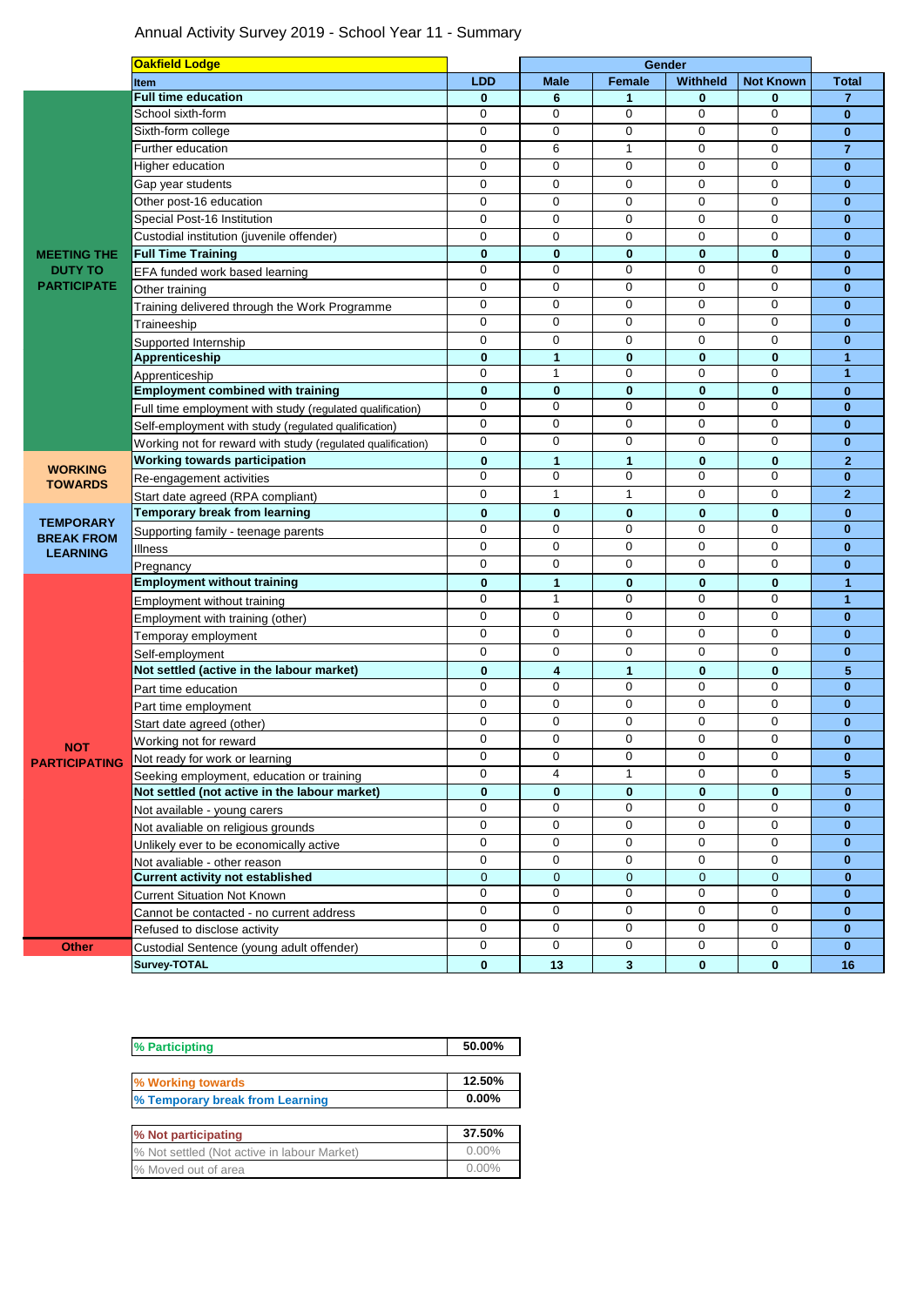## Annual Activity Survey 2019 - School Year 11 - Summary

|                                                            | <b>Oakfield Lodge</b>                                                                      |                  | Gender           |               |                  |                             |                          |
|------------------------------------------------------------|--------------------------------------------------------------------------------------------|------------------|------------------|---------------|------------------|-----------------------------|--------------------------|
|                                                            | <b>Item</b>                                                                                | <b>LDD</b>       | <b>Male</b>      | <b>Female</b> | <b>Withheld</b>  | <b>Not Known</b>            | <b>Total</b>             |
|                                                            | <b>Full time education</b>                                                                 | $\bf{0}$         | 6                | 1             | 0                | 0                           | $\overline{7}$           |
|                                                            | School sixth-form                                                                          | 0                | 0                | $\mathbf 0$   | $\mathbf 0$      | 0                           | $\mathbf{0}$             |
|                                                            | Sixth-form college                                                                         | $\mathbf 0$      | $\mathbf 0$      | 0             | $\mathbf 0$      | 0                           | $\bf{0}$                 |
|                                                            | <b>Further education</b>                                                                   | 0                | 6                | 1             | 0                | 0                           | $\overline{7}$           |
|                                                            | Higher education                                                                           | $\mathbf 0$      | $\mathbf 0$      | $\mathbf 0$   | $\mathbf 0$      | $\mathbf 0$                 | $\mathbf{0}$             |
| <b>MEETING THE</b><br><b>DUTY TO</b><br><b>PARTICIPATE</b> | Gap year students                                                                          | 0                | 0                | 0             | 0                | 0                           | $\mathbf{0}$             |
|                                                            | Other post-16 education                                                                    | $\mathbf 0$      | 0                | $\mathbf 0$   | $\mathbf 0$      | 0                           | $\bf{0}$                 |
|                                                            | Special Post-16 Institution                                                                | 0                | 0                | 0             | 0                | $\mathbf 0$                 | $\bf{0}$                 |
|                                                            | Custodial institution (juvenile offender)                                                  | $\mathbf 0$      | $\mathbf 0$      | $\mathbf 0$   | $\mathbf 0$      | $\mathbf 0$                 | $\bf{0}$                 |
|                                                            | <b>Full Time Training</b>                                                                  | $\bf{0}$         | $\bf{0}$         | 0             | $\bf{0}$         | $\bf{0}$                    | $\mathbf{0}$             |
|                                                            | EFA funded work based learning                                                             | 0                | 0                | 0             | $\mathbf 0$      | $\mathbf 0$                 | $\mathbf{0}$             |
|                                                            | Other training                                                                             | $\mathbf 0$      | $\mathbf 0$      | $\mathbf 0$   | $\mathbf 0$      | $\mathbf 0$                 | $\mathbf{0}$             |
|                                                            | Training delivered through the Work Programme                                              | 0                | 0                | 0             | $\mathbf 0$      | 0                           | $\mathbf{0}$             |
|                                                            | Traineeship                                                                                | $\mathbf 0$      | 0                | $\mathbf 0$   | $\mathbf 0$      | 0                           | $\bf{0}$                 |
|                                                            | Supported Internship                                                                       | 0                | 0                | 0             | $\mathbf 0$      | $\mathbf 0$                 | $\bf{0}$                 |
|                                                            | Apprenticeship                                                                             | $\mathbf 0$      | $\mathbf{1}$     | $\bf{0}$      | $\bf{0}$         | $\mathbf{0}$                | $\mathbf{1}$             |
|                                                            | Apprenticeship                                                                             | $\mathbf 0$      | $\mathbf{1}$     | $\mathbf 0$   | $\mathbf 0$      | 0                           | $\mathbf{1}$             |
|                                                            | <b>Employment combined with training</b>                                                   | $\bf{0}$         | $\bf{0}$         | 0             | $\bf{0}$         | $\mathbf{0}$                | $\bf{0}$                 |
|                                                            | Full time employment with study (regulated qualification)                                  | 0                | 0                | $\mathbf 0$   | $\mathbf 0$      | 0                           | $\bf{0}$                 |
|                                                            | Self-employment with study (regulated qualification)                                       | 0                | 0                | 0             | 0                | 0                           | $\bf{0}$                 |
|                                                            | Working not for reward with study (regulated qualification)                                | 0                | $\mathbf 0$      | $\mathbf 0$   | $\mathbf 0$      | $\mathbf 0$                 | $\mathbf{0}$             |
| <b>WORKING</b><br><b>TOWARDS</b>                           | Working towards participation                                                              | $\bf{0}$         | 1                | $\mathbf{1}$  | $\bf{0}$         | $\bf{0}$                    | $\mathbf{2}$             |
|                                                            | Re-engagement activities                                                                   | 0                | 0                | $\mathbf 0$   | $\mathbf 0$      | $\mathbf 0$                 | $\mathbf{0}$             |
|                                                            | Start date agreed (RPA compliant)                                                          | 0                | 1                | 1             | $\mathbf 0$      | 0                           | $\overline{2}$           |
| <b>TEMPORARY</b><br><b>BREAK FROM</b><br><b>LEARNING</b>   | <b>Temporary break from learning</b>                                                       | $\mathbf 0$      | $\bf{0}$         | $\bf{0}$      | $\bf{0}$         | $\bf{0}$                    | $\bf{0}$                 |
|                                                            | Supporting family - teenage parents                                                        | $\mathbf 0$      | 0                | $\mathbf 0$   | $\mathbf 0$      | $\mathbf 0$                 | $\mathbf{0}$             |
|                                                            | Illness                                                                                    | 0                | 0                | $\mathbf 0$   | $\mathbf 0$      | 0                           | $\mathbf{0}$             |
|                                                            | Pregnancy                                                                                  | $\mathbf 0$      | 0                | 0             | $\mathbf 0$      | 0                           | $\bf{0}$                 |
|                                                            | <b>Employment without training</b>                                                         | $\bf{0}$         | $\mathbf{1}$     | $\mathbf{0}$  | $\mathbf{0}$     | $\bf{0}$                    | 1                        |
|                                                            | Employment without training                                                                | $\mathbf 0$      | $\mathbf{1}$     | $\mathbf 0$   | $\mathbf 0$      | $\mathbf 0$                 | $\mathbf{1}$             |
|                                                            | Employment with training (other)                                                           | 0                | 0                | $\mathbf 0$   | $\mathbf 0$      | $\mathbf 0$                 | $\mathbf{0}$             |
|                                                            | Temporay employment                                                                        | 0                | $\mathbf 0$      | $\mathbf 0$   | $\mathbf 0$      | 0                           | $\mathbf{0}$             |
|                                                            | Self-employment                                                                            | 0                | 0                | 0             | 0                | 0                           | $\bf{0}$                 |
|                                                            | Not settled (active in the labour market)                                                  | $\bf{0}$         | 4                | 1             | $\bf{0}$         | $\mathbf{0}$                | 5                        |
|                                                            | Part time education                                                                        | 0                | 0                | 0             | $\mathbf 0$      | $\mathbf 0$                 | $\mathbf{0}$             |
|                                                            |                                                                                            | $\mathbf 0$      | 0                | $\mathbf 0$   | $\mathbf 0$      | 0                           | $\bf{0}$                 |
|                                                            | Part time employment                                                                       | 0                | 0                | 0             | 0                | 0                           | $\bf{0}$                 |
|                                                            | Start date agreed (other)                                                                  | $\mathbf 0$      | 0                | $\mathbf 0$   | $\mathbf 0$      | $\mathbf 0$                 | $\mathbf{0}$             |
| <b>NOT</b>                                                 | Working not for reward                                                                     | 0                | 0                | 0             | 0                | 0                           | $\bf{0}$                 |
| <b>PARTICIPATING</b>                                       | Not ready for work or learning                                                             | $\mathbf 0$      | $\overline{4}$   | 1             | $\mathbf 0$      | $\mathbf 0$                 | 5                        |
|                                                            | Seeking employment, education or training<br>Not settled (not active in the labour market) | $\bf{0}$         |                  | 0             | 0                | 0                           | $\bf{0}$                 |
|                                                            |                                                                                            | 0                | 0<br>0           | $\mathbf 0$   | 0                | $\mathbf 0$                 | $\mathbf{0}$             |
|                                                            | Not available - young carers                                                               | $\mathbf 0$      | 0                | $\mathbf 0$   | $\mathbf 0$      | $\mathbf 0$                 | $\mathbf{0}$             |
|                                                            | Not avaliable on religious grounds                                                         | 0                | 0                | 0             | $\mathbf 0$      | $\mathbf 0$                 | $\mathbf{0}$             |
|                                                            | Unlikely ever to be economically active                                                    | 0                | $\mathbf 0$      | 0             | 0                | 0                           | $\mathbf{0}$             |
|                                                            | Not avaliable - other reason                                                               |                  |                  |               |                  |                             |                          |
|                                                            | <b>Current activity not established</b>                                                    | $\mathbf 0$<br>0 | $\mathbf 0$<br>0 | 0<br>0        | $\mathbf 0$<br>0 | $\mathbf{0}$<br>$\mathbf 0$ | $\bf{0}$<br>$\mathbf{0}$ |
|                                                            | <b>Current Situation Not Known</b>                                                         | 0                | 0                | 0             | 0                | $\mathbf 0$                 |                          |
|                                                            | Cannot be contacted - no current address                                                   |                  |                  | $\mathbf 0$   | 0                | $\mathbf 0$                 | $\bf{0}$                 |
|                                                            | Refused to disclose activity                                                               | 0<br>$\mathbf 0$ | 0<br>0           |               |                  |                             | $\mathbf{0}$             |
| <b>Other</b>                                               | Custodial Sentence (young adult offender)                                                  |                  |                  | 0             | 0                | 0                           | $\mathbf{0}$             |
|                                                            | Survey-TOTAL                                                                               | $\mathbf 0$      | 13               | $\mathbf{3}$  | $\mathbf{0}$     | $\mathbf{0}$                | 16                       |

| % Participting                              | 50.00%   |  |  |
|---------------------------------------------|----------|--|--|
| % Working towards                           | 12.50%   |  |  |
| % Temporary break from Learning             | 0.00%    |  |  |
|                                             |          |  |  |
| % Not participating                         | 37.50%   |  |  |
| % Not settled (Not active in labour Market) | $0.00\%$ |  |  |
| % Moved out of area                         | $0.00\%$ |  |  |